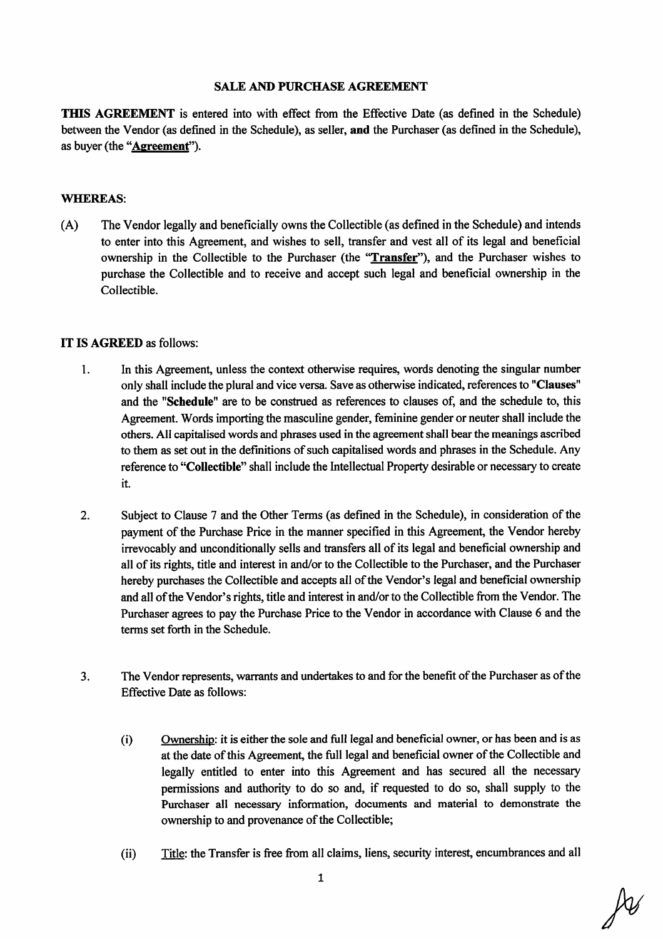#### SALE AND PURCHASE AGREEMENT

THIS AGREEMENT is entered into with effect from the Effective Date (as defined in the Schedule) between the Vendor (as defined in the Schedule), as seller, and the Purchaser (as defined in the Schedule), as buyer (the "**Agreement**").

#### WHEREAS:

The Vendor legally and beneficially owns the Collectible (as defined in the Schedule) and intends to enter into this Agreement, and wishes to sell, transfer and vest all of its legal and beneficial ownership in the Collectible to the Purchaser (the "Transfer"), and the Purchaser wishes to purchase the Collectible and to receive and accept such legal and beneficial ownership in the Collectible. (A)

### IT IS AGREED as follows:

- In this Agreement, unless the context otherwise requires, words denoting the singular number only shall include the plural and vice versa. Save as otherwise indicated, references to "Clauses" and the "Schedule" are to be construed as references to clauses of, and the schedule to, this Agreement. Words importing the masculine gender, feminine gender or neuter shall include the others. All capitalised words and phrases used in the agreement shall bear the meanings ascribed to them as set out in the definitions of such capitalised words and phrases in the Schedule. Any reference to "Collectible" shall include the Intellectual Property desirable or necessaty to create 1 it.
- Subject to Clause 7 and the Other Terms (as defined in the Schedule), in consideration of the payment of the Purchase Price in the manner specified in this Agreement, the Vendor hereby irrevocably and unconditionally sells and fransfers all of its legal and beneficial ownership and all of its rights, title and interest in and/or to the Collectible to the Purchaser, and the Purchaser hereby purchases the Collectible and accepts all of the Vendor's legal and beneficial ownership and all of the Vendor's rights, title and interest in and/or to the Collectible from the Vendor. The Purchaser agrees to pay the Purchase Price to the Vendor in accordance with Clause 6 and the terms set forth in the Schedule. 2
- The Vendor represents, warrants and undertakes to and for the benefit of the Purchaser as of the Effective Date as follows: 3
	- Ownership: it is either the sole and full legal and beneficial owner, or has been and is as at the date of this Agreement, the full legal and beneficial owner of the Collectible and legally entitled to enter into this Agreement and has secured all the necessary permissions and authority to do so and, if requested to do so, shall supply to the Purchaser all necessary information, documents and material to demonstrate the ownership to and provenance of the Collectible;  $(i)$
	- (ii) Title: the Transfer is free from all claims, liens, security interest, encumbrances and all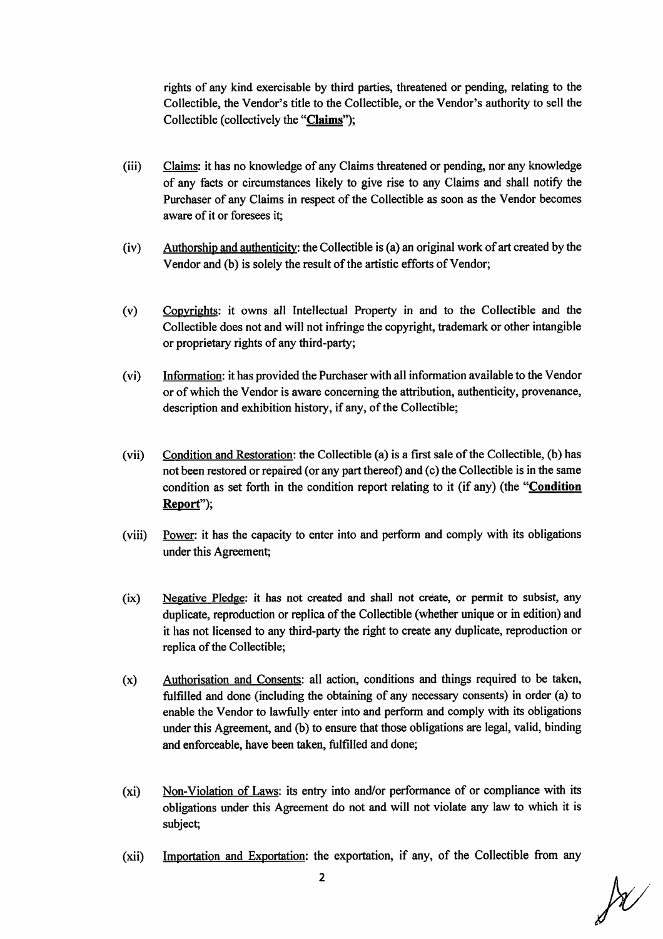rights of any kind exercisable by third parties, threatened or pending, relating to the Collectible, the Vendor's title to the Collectible, or the Vendor's authority to sell the Collectible (collectively the "Claims");

- Claims: it has no knowledge of any Claims threatened or pending, nor any knowledge of any facts or circumstances likely to give rise to any Claims and shall notify the Purchaser of any Claims in respect of the Collectible as soon as the Vendor becomes aware of it or foresees it; (iii)
- Authorship and authenticity: the Collectible is (a) an original work of art created by the Vendor and (b) is solely the result of the artistic efforts of Vendor;  $(iv)$
- Copyrights: it owns all Intellectual Property in and to the Collectible and the Collectible does not and will not infringe the copyright, trademark or other intangible or proprietary rights of any third-party; (٧)
- Information: it has provided the Purchaser with all information available to the Vendor or of which the Vendor is aware concerning the attribution, authenticity, provenance, description and exhibition history, if any, of the Collectible; (vi)
- Condition and Restoration: the Collectible (a) is a first sale of the Collectible, (b) has not been restored or repaired (or any part thereof) and (c) the Collectible is in the same condition as set forth in the condition report relating to it (if any) (the "Condition Report''); (vii)
- (viii) Power: it has the capacity to enter into and perform and comply with its obligations under this Agreement;
- Negative Pledge: it has not created and shall not create, or permit to subsist, any duplicate, reproduction or replica of the Collectible (whether unique or in edition) and it has not licensed to any third-party the right to create any duplicate, reproduction or replica of the Collectible;  $(ix)$
- Authorisation and Consents: all action, conditions and things required to be taken, fulfilled and done (including the obtaining of any necessary consents) in order (a) to enable the Vendor to lawfully enter into and perform and comply with its obligations under this Agreement, and (b) to ensure that those obligations are legal, valid, binding and enforceable, have been taken, fulfilled and done; (x)
- Non-Violation of Laws: its entry into and/or performance of or compliance with its obligations under this Agreement do not and will not violate any law to which it is subject;  $(xi)$
- (xii) Importation and Exportation: the exportation, if any, of the Collectible from any

 $\sqrt{\chi}$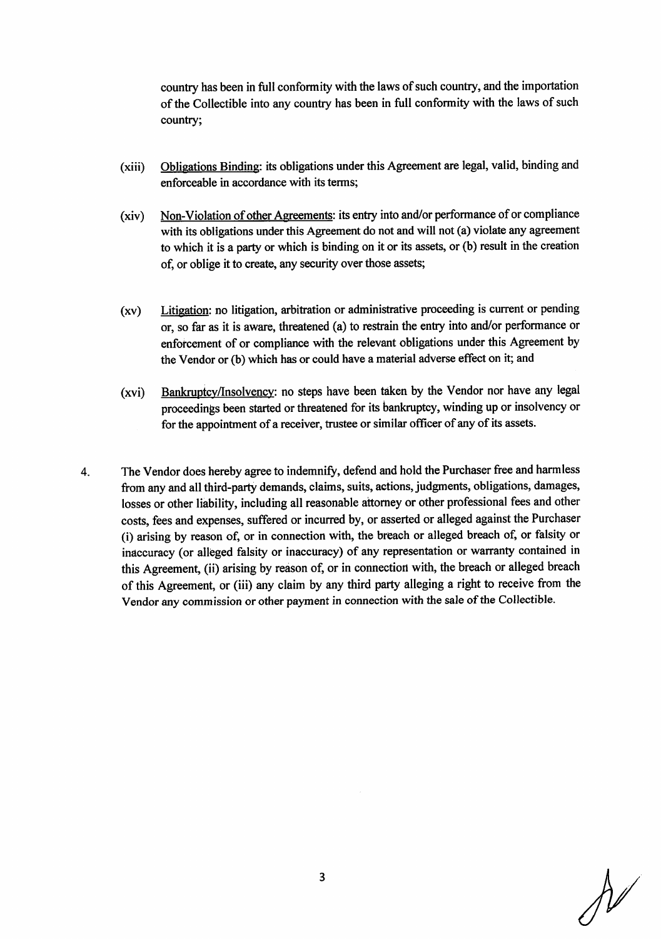country has been in full conformity with the laws of such country, and the importation of the Collectible into any country has been in full conformity with the laws of such country;

- Obligations Binding: its obligations under this Agreement are legal, valid, binding and enforceable in accordance with its terms; (xiii)
- Non-Violation of other Agreements: its entry into and/or performance of or compliance with its obligations under this Agreement do not and will not (a) violate any agreement to which it is a party or which is binding on it or its assets, or (b) result in the creation of, or oblige it to create, any security over those assets; (xiv)
- Litigation: no litigation, arbitration or administrative proceeding is current or pending or, so far as it is aware, threatened (a) to restrain the entry into and/or performance or enforcement of or compliance with the relevant obligations under this Agreement by the Vendor or (b) which has or could have a material adverse effect on it; and  $(xv)$
- Bankruptcy/Insolvency: no steps have been taken by the Vendor nor have any legal proceedings been started or threatened for its bankruptcy, winding up or insolvency or for the appointment of a receiver, trustee or similar officer of any of its assets. (xvi)
- The Vendor does hereby agree to indemnify, defend and hold the Purchaser free and harmless from any and all third-party demands, claims, suits, actions, judgments, obligations, damages, losses or other liability, including all reasonable attorney or other professional fees and other costs, fees and expenses, suffered or incurred by, or asserted or alleged against the Purchaser (i) arising by reason of, or in connection with, the breach or alleged breach of, or falsity or inaccuracy (or alleged falsity or inaccuracy) of any representation or warranty contained in this Agreement, (ii) arising by reason of, or in connection with, the breach or alleged breach of this Agreement, or (iii) any claim by any third party alleging a right to receive from the Vendor any commission or other payment in connection with the sale of the Collectible. 4.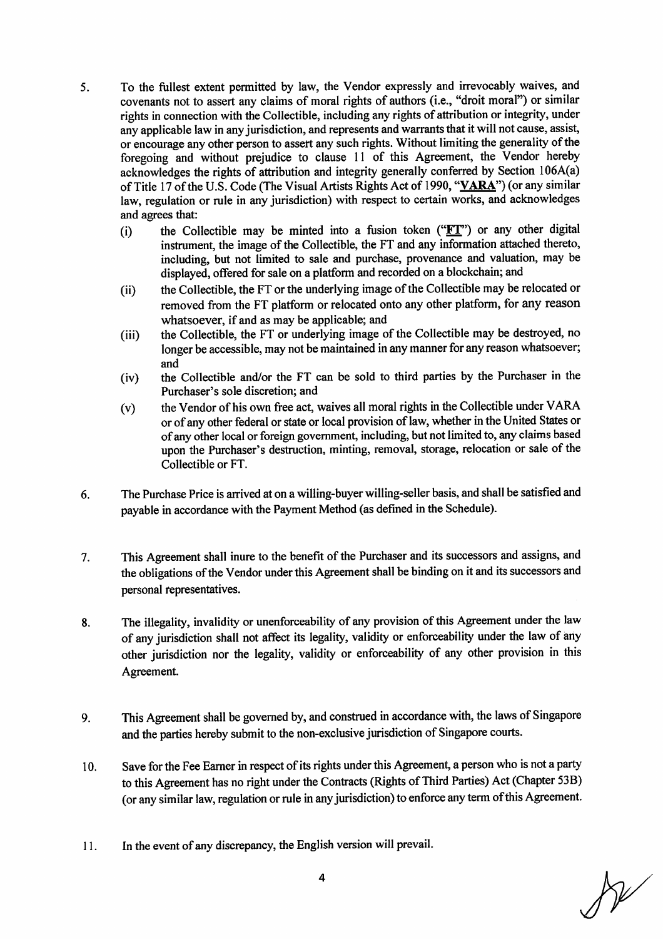- To the fullest extent permitted by law, the Vendor expressly and irrevocably waives, and covenants not to assert any claims of moral rights of authors (i.e., "droit moral") or similar rights in connection with the Collectible, including any rights of attribution or integrity, under any applicable law in any jurisdiction, and represents and warrants that it will not cause, assist, or encourage any other person to assert any such rights. Without limiting the generality of the foregoing and without prejudice to clause 11 of this Agreement, the Vendor hereby acknowledges the rights of attribution and integrity generally conferred by Section 106A(a) of Title 17 of the U.S. Code (The Visual Artists Rights Act of 1990, "VARA") (or any similar law, regulation or rule in any jurisdiction) with respect to certain works, and acknowledges and agrees that: 5
	- the Collectible may be minted into a fusion token (" $ET$ ") or any other digital instrument, the image of the Collectible, the FT and any information attached thereto, including, but not limited to sale and purchase, provenance and valuation, may be displayed, offered for sale on a platform and recorded on a blockchain؛ and  $(i)$
	- the Collectible, the FT or the underlying image of the Collectible may be relocated or removed from the FT platform or relocated onto any other platform, for any reason whatsoever. If and as may be applicable; and  $(ii)$
	- the Collectible, the FT or underlying image of the Collectible may be destroyed, no longer be accessible, may not be maintained in any manner for any reason whatsoever; (iii) and
	- the Collectible and/or the FT can be sold to third parties by the Purchaser in the Purchaser's sole discretion; and  $(iv)$
	- the Vendor of his own free act, waives all moral rights in the Collectible under VARA or of any other federal or state or local provision of law, whether in the United States or of any other local or foreign government, including, but not limited to, any claims based upon the Purchaser's destruction, minting, removal, storage, relocation or sale of the Collectible or FT. (٧)
- The Purchase Price is arrived at on a willing-buyer willing-seller basis, and shall be satisfied and payable in accordance with the Payment Method (as defined in the Schedule). 6.
- This Agreement shall inure to the benefit of the Purchaser and its successors and assigns, and the obligations of the Vendor under this Agreement shall be binding on it and its successors and personal representatives. 7,
- The illegality, invalidity or unenforceability of any provision of this Agreement under the law 8. of any jurisdiction shall not affect its legality, validity or enforceability under the law of any other jurisdiction nor the legality, validity or enforceability of any other provision in this Agreement.
- This Agreement shall be governed by, and construed in accordance with, the laws of Singapore and the parties hereby submit to the non-exclusive jurisdiction of Singapore courts. 9.
- Save for the Fee Earner in respect of its rights under this Agreement, a person who is not a party to this Agreement has no right under the Contracts (Rights of Third Parties) Act (Chapter 53B) (or any similar law, regulation or rule in any jurisdiction) to enforce any term of this Agreement. 10,
- 11. In the event of any discrepancy, the English version will prevail.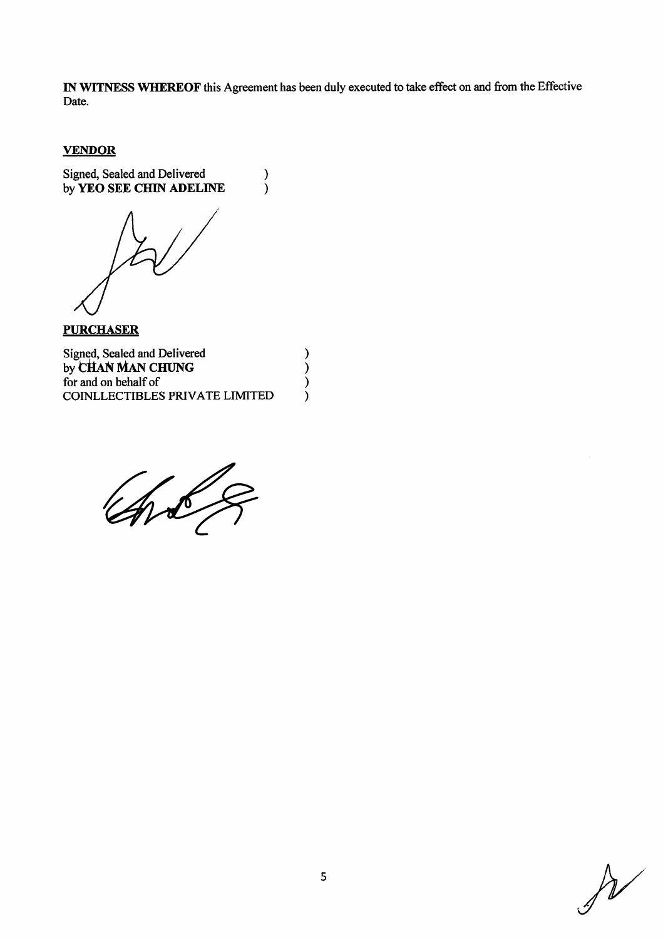IN WITNESS WHEREOF this Agreement has been duly executed to take effect on and from the Effective Date.

 $\mathcal{E}$ 

 $\mathcal{L}$ 

## **VENDOR**

Signed, Sealed and Delivered by YEO SEE CHIN ADELINE

**PURCHASER** 

Signed, Sealed and Delivered )<br>)<br>) by CHAN MAN CHUNG for and on behalf of COINLLECTIBLES PRIVATE LIMITED  $\mathcal{L}$ 

Total 1

 $\lambda$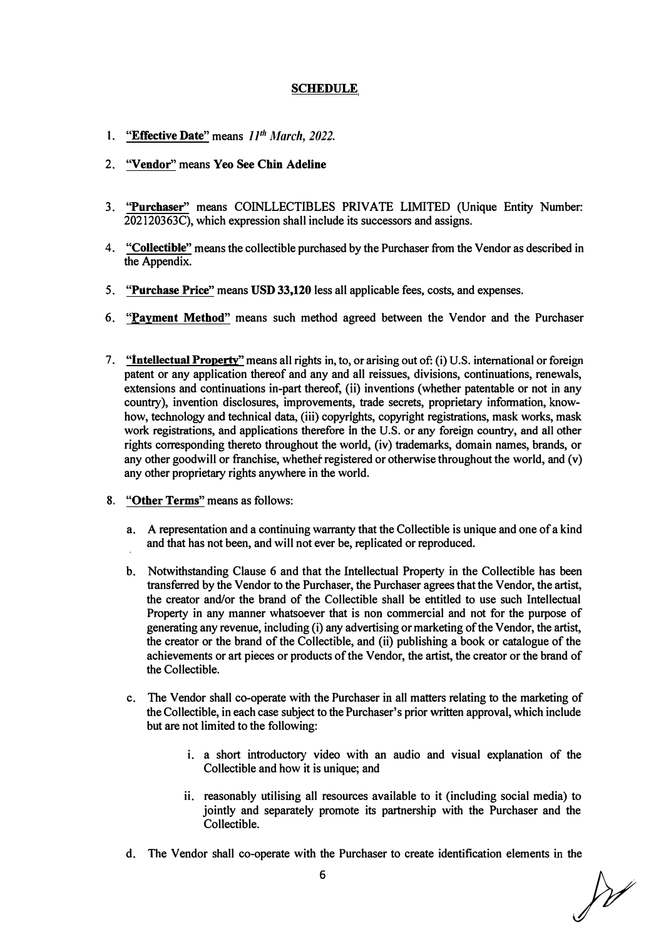### **SCHEDULE**

- 1. **"Effective Date"** means *11t<sup>h</sup> March, 2022.*
- 2. **"Vendor"** means **Yeo See Chin Adeline**
- 3. **"Purchaser"** means COINLLECTIBLES PRIVATE LIMITED (Unique Entity Number: 202120363C), which expression shall include its successors and assigns.
- 4. **"Collectible"** means the collectible purchased by the Purchaser from the Vendor as described in the Appendix.
- 5. **"Purchase Price"** means **USD 33,120** less all applicable fees, costs, and expenses.
- 6. **"Payment Method"** means such method agreed between the Vendor and the Purchaser
- 7. **"intellectual Property"** means all rights in, to, or arising out of: (i) U.S. international or foreign patent or any application thereof and any and all reissues, divisions, continuations, renewals, extensions and continuations in-part theteof, **(ii)** inventions (whether patentable or not in any country), invention disclosures, improvements, trade secrets, proprietary information, knowhow, technology and technical data, (iii) copyrights, copyright registrations, mask works, mask work registrations, and applications therefore in the U.S. or any foreign country, and all other rights corresponding thereto throughout the world, (iv) trademarks, domain names, brands, or any other goodwill or franchise, whether registered or otherwise throughout the world, and  $(v)$ any other proprietary rights anywhere in the world.
- **8. "Other Terms"** means as follows:
	- a. A representation and a continuing warranty that the Collectible is unique and one ofa kind and that has not been, and will not ever be, replicated or reproduced.
	- b. Notwithstanding Clause 6 and that the Intellectual Property in the Collectible has been transferred by the Vendor to the Purchaser, the Purchaser agrees that the Vendor, the artist, the creator and/or the brand of the Collectible shall be ehtitled to use such Intellectual Property in any manner whatsoever that is non commercial and not for the purpose of generating any revenue, including ( i) any advertising or marketing of the Vendor, the artist, the creator or the brand of the Collectible, and **(ii)** publishing a book or catalogue of the achievements or art pieces or products of the Vendor, the artist, the creator or the brand of the Collectible.
	- c. The Vendor shall co-operate with the Purchaser in all matters relating to the marketing of the Collectible, in each case subject to the Purchaser's prior written approval, which include but are not limited to the following:
		- i. a short introductory video with an audio and visual explanation of the Collectible and how it is unique; and
		- ii. reasonably utilising all resources available to it (including social media) to jointly and separately promote its partnership with the Purchaser and the Collectible.
	- d. The Vendor shall co-operate with the Purchaser to create identification elements in the

*jY*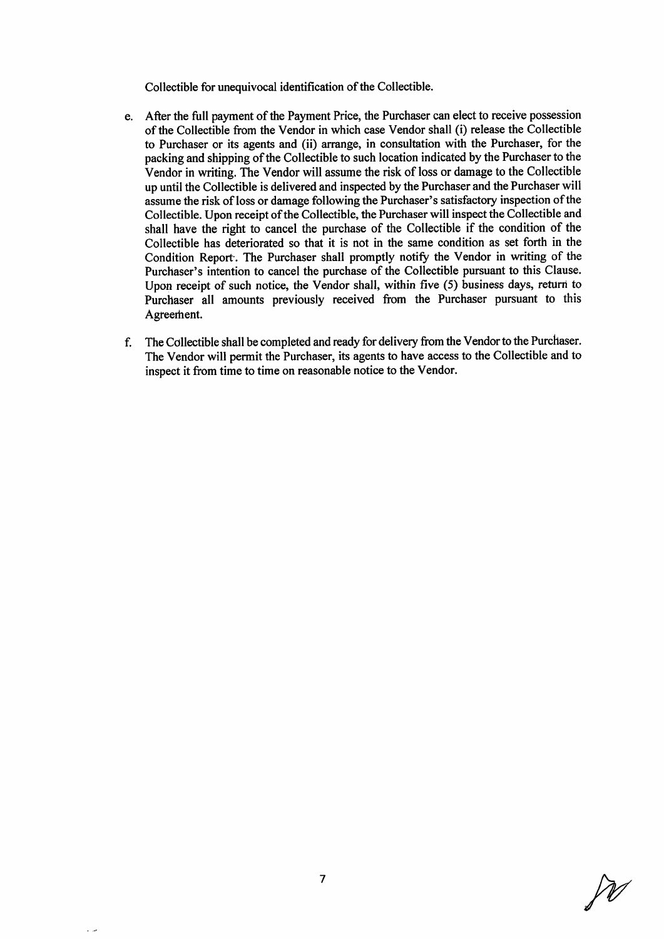Collectible for unequivocal identification of the Collectible.

- e. After the full payment of the Payment Price, the Purchaser can elect to receive possession of the Collectible from the Vendor in which case Vendor shall (i) release the Collectible to Purchaser or its agents and (ii) arrange, in consultation with the Purchaser, for the packing and shipping of the Collectible to such location indicated by the Purchaser to the Vendor in writing. The Vendor will assume the risk of loss or damage to the Collectible up until the Collectible is delivered and inspected by the Purchaser and the Purchaser will assume the risk of loss or damage following the Purchaser's satisfactory inspection of the Collectible. Upon receipt of the Collectible, the Purchaser will inspect the Collectible and shall have the right to cancel the purchase of the Collectible if the condition of the Collectible has deteriorated so that it is not in the same condition as set forth in the Condition Report. The Purchaser shall promptly notify the Vendor in writing of the Purchaser's intention to cancel the purchase of the Collectible pursuant to this Clause. Upon receipt of such notice, the Vendor shall, within five (5) business days, return to Purchaser all amounts previously received from the Purchaser pursuant to this Agreement.
- f. The Collectible shall be completed and ready for delivery from the Vendor to the Purchaser. The Vendor will permit the Purchaser, its agents to have access to the Collectible and to inspect it from time to time on reasonable notice to the Vendor.